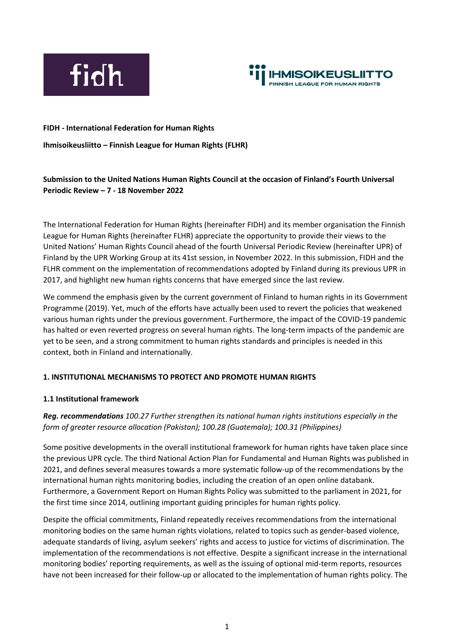



#### **FIDH - International Federation for Human Rights**

**Ihmisoikeusliitto – Finnish League for Human Rights (FLHR)**

# **Submission to the United Nations Human Rights Council at the occasion of Finland's Fourth Universal Periodic Review – 7 - 18 November 2022**

The International Federation for Human Rights (hereinafter FIDH) and its member organisation the Finnish League for Human Rights (hereinafter FLHR) appreciate the opportunity to provide their views to the United Nations' Human Rights Council ahead of the fourth Universal Periodic Review (hereinafter UPR) of Finland by the UPR Working Group at its 41st session, in November 2022. In this submission, FIDH and the FLHR comment on the implementation of recommendations adopted by Finland during its previous UPR in 2017, and highlight new human rights concerns that have emerged since the last review.

We commend the emphasis given by the current government of Finland to human rights in its Government Programme (2019). Yet, much of the efforts have actually been used to revert the policies that weakened various human rights under the previous government. Furthermore, the impact of the COVID-19 pandemic has halted or even reverted progress on several human rights. The long-term impacts of the pandemic are yet to be seen, and a strong commitment to human rights standards and principles is needed in this context, both in Finland and internationally.

#### **1. INSTITUTIONAL MECHANISMS TO PROTECT AND PROMOTE HUMAN RIGHTS**

#### **1.1 Institutional framework**

# *Reg. recommendations 100.27 Further strengthen its national human rights institutions especially in the form of greater resource allocation (Pakistan); 100.28 (Guatemala); 100.31 (Philippines)*

Some positive developments in the overall institutional framework for human rights have taken place since the previous UPR cycle. The third National Action Plan for Fundamental and Human Rights was published in 2021, and defines several measures towards a more systematic follow-up of the recommendations by the international human rights monitoring bodies, including the creation of an open online databank. Furthermore, a Government Report on Human Rights Policy was submitted to the parliament in 2021, for the first time since 2014, outlining important guiding principles for human rights policy.

Despite the official commitments, Finland repeatedly receives recommendations from the international monitoring bodies on the same human rights violations, related to topics such as gender-based violence, adequate standards of living, asylum seekers' rights and access to justice for victims of discrimination. The implementation of the recommendations is not effective. Despite a significant increase in the international monitoring bodies' reporting requirements, as well as the issuing of optional mid-term reports, resources have not been increased for their follow-up or allocated to the implementation of human rights policy. The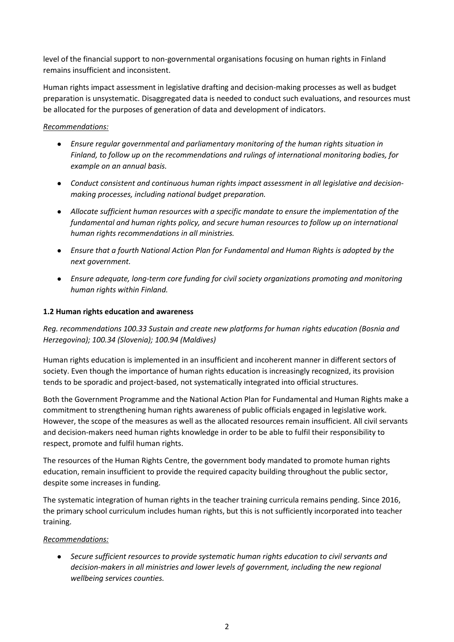level of the financial support to non-governmental organisations focusing on human rights in Finland remains insufficient and inconsistent.

Human rights impact assessment in legislative drafting and decision-making processes as well as budget preparation is unsystematic. Disaggregated data is needed to conduct such evaluations, and resources must be allocated for the purposes of generation of data and development of indicators.

## *Recommendations:*

- *Ensure regular governmental and parliamentary monitoring of the human rights situation in Finland, to follow up on the recommendations and rulings of international monitoring bodies, for example on an annual basis.*
- *Conduct consistent and continuous human rights impact assessment in all legislative and decisionmaking processes, including national budget preparation.*
- *Allocate sufficient human resources with a specific mandate to ensure the implementation of the fundamental and human rights policy, and secure human resources to follow up on international human rights recommendations in all ministries.*
- *Ensure that a fourth National Action Plan for Fundamental and Human Rights is adopted by the next government.*
- *Ensure adequate, long-term core funding for civil society organizations promoting and monitoring human rights within Finland.*

# **1.2 Human rights education and awareness**

*Reg. recommendations 100.33 Sustain and create new platforms for human rights education (Bosnia and Herzegovina); 100.34 (Slovenia); 100.94 (Maldives)*

Human rights education is implemented in an insufficient and incoherent manner in different sectors of society. Even though the importance of human rights education is increasingly recognized, its provision tends to be sporadic and project-based, not systematically integrated into official structures.

Both the Government Programme and the National Action Plan for Fundamental and Human Rights make a commitment to strengthening human rights awareness of public officials engaged in legislative work. However, the scope of the measures as well as the allocated resources remain insufficient. All civil servants and decision-makers need human rights knowledge in order to be able to fulfil their responsibility to respect, promote and fulfil human rights.

The resources of the Human Rights Centre, the government body mandated to promote human rights education, remain insufficient to provide the required capacity building throughout the public sector, despite some increases in funding.

The systematic integration of human rights in the teacher training curricula remains pending. Since 2016, the primary school curriculum includes human rights, but this is not sufficiently incorporated into teacher training.

## *Recommendations:*

● *Secure sufficient resources to provide systematic human rights education to civil servants and decision-makers in all ministries and lower levels of government, including the new regional wellbeing services counties.*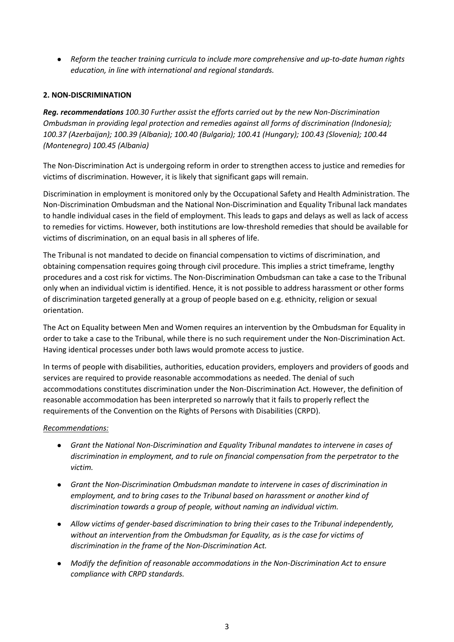● *Reform the teacher training curricula to include more comprehensive and up-to-date human rights education, in line with international and regional standards.*

## **2. NON-DISCRIMINATION**

*Reg. recommendations 100.30 Further assist the efforts carried out by the new Non-Discrimination Ombudsman in providing legal protection and remedies against all forms of discrimination (Indonesia); 100.37 (Azerbaijan); 100.39 (Albania); 100.40 (Bulgaria); 100.41 (Hungary); 100.43 (Slovenia); 100.44 (Montenegro) 100.45 (Albania)*

The Non-Discrimination Act is undergoing reform in order to strengthen access to justice and remedies for victims of discrimination. However, it is likely that significant gaps will remain.

Discrimination in employment is monitored only by the Occupational Safety and Health Administration. The Non-Discrimination Ombudsman and the National Non-Discrimination and Equality Tribunal lack mandates to handle individual cases in the field of employment. This leads to gaps and delays as well as lack of access to remedies for victims. However, both institutions are low-threshold remedies that should be available for victims of discrimination, on an equal basis in all spheres of life.

The Tribunal is not mandated to decide on financial compensation to victims of discrimination, and obtaining compensation requires going through civil procedure. This implies a strict timeframe, lengthy procedures and a cost risk for victims. The Non-Discrimination Ombudsman can take a case to the Tribunal only when an individual victim is identified. Hence, it is not possible to address harassment or other forms of discrimination targeted generally at a group of people based on e.g. ethnicity, religion or sexual orientation.

The Act on Equality between Men and Women requires an intervention by the Ombudsman for Equality in order to take a case to the Tribunal, while there is no such requirement under the Non-Discrimination Act. Having identical processes under both laws would promote access to justice.

In terms of people with disabilities, authorities, education providers, employers and providers of goods and services are required to provide reasonable accommodations as needed. The denial of such accommodations constitutes discrimination under the Non-Discrimination Act. However, the definition of reasonable accommodation has been interpreted so narrowly that it fails to properly reflect the requirements of the Convention on the Rights of Persons with Disabilities (CRPD).

## *Recommendations:*

- *Grant the National Non-Discrimination and Equality Tribunal mandates to intervene in cases of discrimination in employment, and to rule on financial compensation from the perpetrator to the victim.*
- *Grant the Non-Discrimination Ombudsman mandate to intervene in cases of discrimination in employment, and to bring cases to the Tribunal based on harassment or another kind of discrimination towards a group of people, without naming an individual victim.*
- *Allow victims of gender-based discrimination to bring their cases to the Tribunal independently, without an intervention from the Ombudsman for Equality, as is the case for victims of discrimination in the frame of the Non-Discrimination Act.*
- *Modify the definition of reasonable accommodations in the Non-Discrimination Act to ensure compliance with CRPD standards.*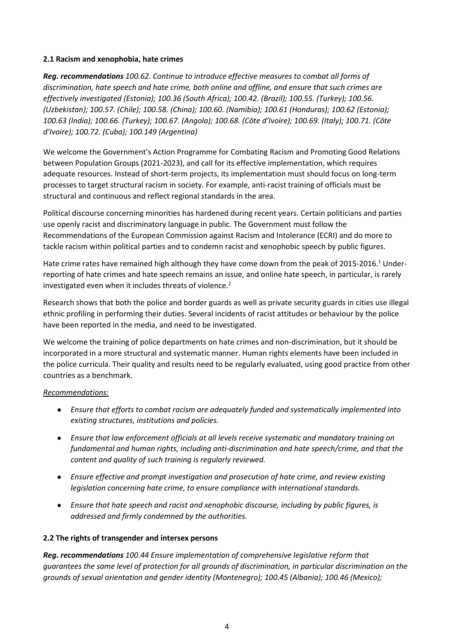### **2.1 Racism and xenophobia, hate crimes**

*Reg. recommendations 100.62. Continue to introduce effective measures to combat all forms of discrimination, hate speech and hate crime, both online and offline, and ensure that such crimes are effectively investigated (Estonia); 100.36 (South Africa); 100.42. (Brazil); 100.55. (Turkey); 100.56. (Uzbekistan); 100.57. (Chile); 100.58. (China); 100.60. (Namibia); 100.61 (Honduras); 100.62 (Estonia); 100.63 (India); 100.66. (Turkey); 100.67. (Angola); 100.68. (Côte d'Ivoire); 100.69. (Italy); 100.71. (Côte d'Ivoire); 100.72. (Cuba); 100.149 (Argentina)*

We welcome the Government's Action Programme for Combating Racism and Promoting Good Relations between Population Groups (2021-2023), and call for its effective implementation, which requires adequate resources. Instead of short-term projects, its implementation must should focus on long-term processes to target structural racism in society. For example, anti-racist training of officials must be structural and continuous and reflect regional standards in the area.

Political discourse concerning minorities has hardened during recent years. Certain politicians and parties use openly racist and discriminatory language in public. The Government must follow the Recommendations of the European Commission against Racism and Intolerance (ECRI) and do more to tackle racism within political parties and to condemn racist and xenophobic speech by public figures.

Hate crime rates have remained high although they have come down from the peak of 2015-2016.<sup>1</sup> Underreporting of hate crimes and hate speech remains an issue, and online hate speech, in particular, is rarely investigated even when it includes threats of violence.<sup>2</sup>

Research shows that both the police and border guards as well as private security guards in cities use illegal ethnic profiling in performing their duties. Several incidents of racist attitudes or behaviour by the police have been reported in the media, and need to be investigated.

We welcome the training of police departments on hate crimes and non-discrimination, but it should be incorporated in a more structural and systematic manner. Human rights elements have been included in the police curricula. Their quality and results need to be regularly evaluated, using good practice from other countries as a benchmark.

## *Recommendations:*

- *Ensure that efforts to combat racism are adequately funded and systematically implemented into existing structures, institutions and policies.*
- *Ensure that law enforcement officials at all levels receive systematic and mandatory training on fundamental and human rights, including anti-discrimination and hate speech/crime, and that the content and quality of such training is regularly reviewed.*
- *Ensure effective and prompt investigation and prosecution of hate crime, and review existing legislation concerning hate crime, to ensure compliance with international standards.*
- *Ensure that hate speech and racist and xenophobic discourse, including by public figures, is addressed and firmly condemned by the authorities.*

## **2.2 The rights of transgender and intersex persons**

*Reg. recommendations 100.44 Ensure implementation of comprehensive legislative reform that guarantees the same level of protection for all grounds of discrimination, in particular discrimination on the grounds of sexual orientation and gender identity (Montenegro); 100.45 (Albania); 100.46 (Mexico);*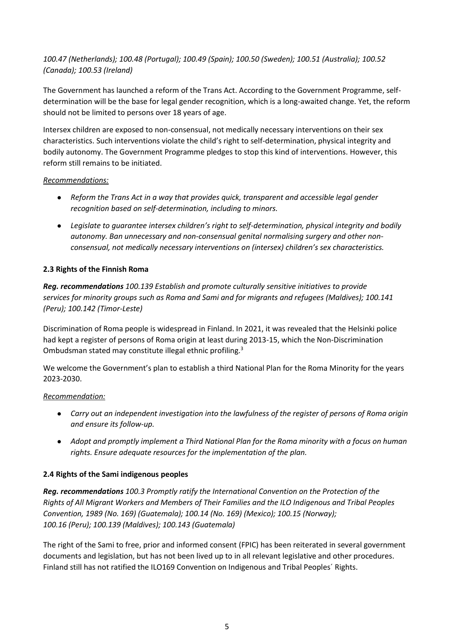# *100.47 (Netherlands); 100.48 (Portugal); 100.49 (Spain); 100.50 (Sweden); 100.51 (Australia); 100.52 (Canada); 100.53 (Ireland)*

The Government has launched a reform of the Trans Act. According to the Government Programme, selfdetermination will be the base for legal gender recognition, which is a long-awaited change. Yet, the reform should not be limited to persons over 18 years of age.

Intersex children are exposed to non-consensual, not medically necessary interventions on their sex characteristics. Such interventions violate the child's right to self-determination, physical integrity and bodily autonomy. The Government Programme pledges to stop this kind of interventions. However, this reform still remains to be initiated.

### *Recommendations:*

- *Reform the Trans Act in a way that provides quick, transparent and accessible legal gender recognition based on self-determination, including to minors.*
- *Legislate to guarantee intersex children's right to self-determination, physical integrity and bodily autonomy. Ban unnecessary and non-consensual genital normalising surgery and other nonconsensual, not medically necessary interventions on (intersex) children's sex characteristics.*

## **2.3 Rights of the Finnish Roma**

*Reg. recommendations 100.139 Establish and promote culturally sensitive initiatives to provide services for minority groups such as Roma and Sami and for migrants and refugees (Maldives); 100.141 (Peru); 100.142 (Timor-Leste)*

Discrimination of Roma people is widespread in Finland. In 2021, it was revealed that the Helsinki police had kept a register of persons of Roma origin at least during 2013-15, which the Non-Discrimination Ombudsman stated may constitute illegal ethnic profiling.<sup>3</sup>

We welcome the Government's plan to establish a third National Plan for the Roma Minority for the years 2023-2030.

## *Recommendation:*

- *Carry out an independent investigation into the lawfulness of the register of persons of Roma origin and ensure its follow-up.*
- *Adopt and promptly implement a Third National Plan for the Roma minority with a focus on human rights. Ensure adequate resources for the implementation of the plan.*

## **2.4 Rights of the Sami indigenous peoples**

*Reg. recommendations 100.3 Promptly ratify the International Convention on the Protection of the Rights of All Migrant Workers and Members of Their Families and the ILO Indigenous and Tribal Peoples Convention, 1989 (No. 169) (Guatemala); 100.14 (No. 169) (Mexico); 100.15 (Norway); 100.16 (Peru); 100.139 (Maldives); 100.143 (Guatemala)*

The right of the Sami to free, prior and informed consent (FPIC) has been reiterated in several government documents and legislation, but has not been lived up to in all relevant legislative and other procedures. Finland still has not ratified the ILO169 Convention on Indigenous and Tribal Peoples´ Rights.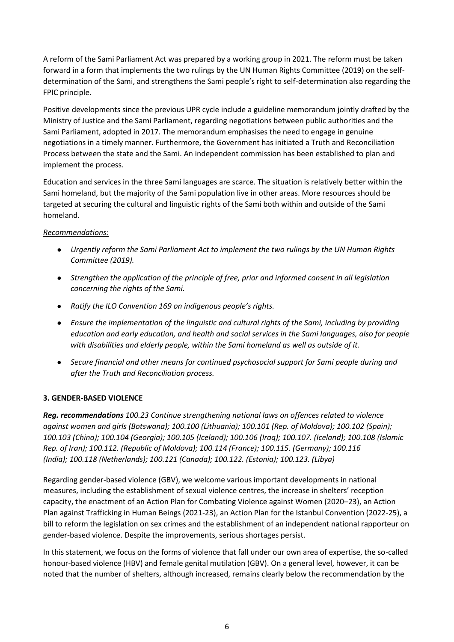A reform of the Sami Parliament Act was prepared by a working group in 2021. The reform must be taken forward in a form that implements the two rulings by the UN Human Rights Committee (2019) on the selfdetermination of the Sami, and strengthens the Sami people's right to self-determination also regarding the FPIC principle.

Positive developments since the previous UPR cycle include a guideline memorandum jointly drafted by the Ministry of Justice and the Sami Parliament, regarding negotiations between public authorities and the Sami Parliament, adopted in 2017. The memorandum emphasises the need to engage in genuine negotiations in a timely manner. Furthermore, the Government has initiated a Truth and Reconciliation Process between the state and the Sami. An independent commission has been established to plan and implement the process.

Education and services in the three Sami languages are scarce. The situation is relatively better within the Sami homeland, but the majority of the Sami population live in other areas. More resources should be targeted at securing the cultural and linguistic rights of the Sami both within and outside of the Sami homeland.

# *Recommendations:*

- *Urgently reform the Sami Parliament Act to implement the two rulings by the UN Human Rights Committee (2019).*
- *Strengthen the application of the principle of free, prior and informed consent in all legislation concerning the rights of the Sami.*
- *Ratify the ILO Convention 169 on indigenous people's rights.*
- *Ensure the implementation of the linguistic and cultural rights of the Sami, including by providing education and early education, and health and social services in the Sami languages, also for people with disabilities and elderly people, within the Sami homeland as well as outside of it.*
- *Secure financial and other means for continued psychosocial support for Sami people during and after the Truth and Reconciliation process.*

## **3. GENDER-BASED VIOLENCE**

*Reg. recommendations 100.23 Continue strengthening national laws on offences related to violence against women and girls (Botswana); 100.100 (Lithuania); 100.101 (Rep. of Moldova); 100.102 (Spain); 100.103 (China); 100.104 (Georgia); 100.105 (Iceland); 100.106 (Iraq); 100.107. (Iceland); 100.108 (Islamic Rep. of Iran); 100.112. (Republic of Moldova); 100.114 (France); 100.115. (Germany); 100.116 (India); 100.118 (Netherlands); 100.121 (Canada); 100.122. (Estonia); 100.123. (Libya)*

Regarding gender-based violence (GBV), we welcome various important developments in national measures, including the establishment of sexual violence centres, the increase in shelters' reception capacity, the enactment of an Action Plan for Combating Violence against Women (2020–23), an Action Plan against Trafficking in Human Beings (2021-23), an Action Plan for the Istanbul Convention (2022-25), a bill to reform the legislation on sex crimes and the establishment of an independent national rapporteur on gender-based violence. Despite the improvements, serious shortages persist.

In this statement, we focus on the forms of violence that fall under our own area of expertise, the so-called honour-based violence (HBV) and female genital mutilation (GBV). On a general level, however, it can be noted that the number of shelters, although increased, remains clearly below the recommendation by the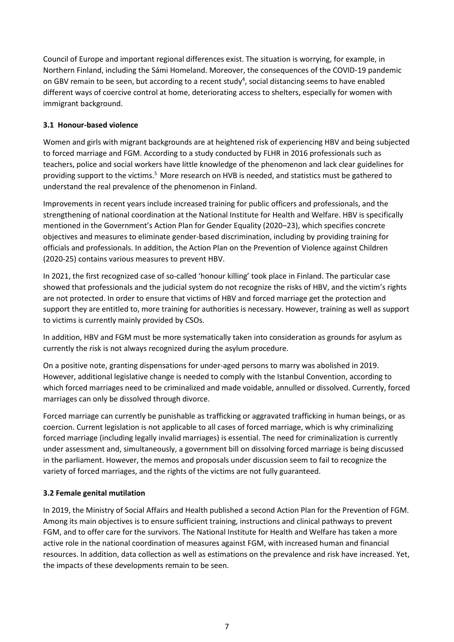Council of Europe and important regional differences exist. The situation is worrying, for example, in Northern Finland, including the Sámi Homeland. Moreover, the consequences of the COVID-19 pandemic on GBV remain to be seen, but according to a recent study<sup>4</sup>, social distancing seems to have enabled different ways of coercive control at home, deteriorating access to shelters, especially for women with immigrant background.

# **3.1 Honour-based violence**

Women and girls with migrant backgrounds are at heightened risk of experiencing HBV and being subjected to forced marriage and FGM. According to a study conducted by FLHR in 2016 professionals such as teachers, police and social workers have little knowledge of the phenomenon and lack clear guidelines for providing support to the victims.<sup>5</sup> More research on HVB is needed, and statistics must be gathered to understand the real prevalence of the phenomenon in Finland.

Improvements in recent years include increased training for public officers and professionals, and the strengthening of national coordination at the National Institute for Health and Welfare. HBV is specifically mentioned in the Government's Action Plan for Gender Equality (2020–23), which specifies concrete objectives and measures to eliminate gender-based discrimination, including by providing training for officials and professionals. In addition, the Action Plan on the Prevention of Violence against Children (2020-25) contains various measures to prevent HBV.

In 2021, the first recognized case of so-called 'honour killing' took place in Finland. The particular case showed that professionals and the judicial system do not recognize the risks of HBV, and the victim's rights are not protected. In order to ensure that victims of HBV and forced marriage get the protection and support they are entitled to, more training for authorities is necessary. However, training as well as support to victims is currently mainly provided by CSOs.

In addition, HBV and FGM must be more systematically taken into consideration as grounds for asylum as currently the risk is not always recognized during the asylum procedure.

On a positive note, granting dispensations for under-aged persons to marry was abolished in 2019. However, additional legislative change is needed to comply with the Istanbul Convention, according to which forced marriages need to be criminalized and made voidable, annulled or dissolved. Currently, forced marriages can only be dissolved through divorce.

Forced marriage can currently be punishable as trafficking or aggravated trafficking in human beings, or as coercion. Current legislation is not applicable to all cases of forced marriage, which is why criminalizing forced marriage (including legally invalid marriages) is essential. The need for criminalization is currently under assessment and, simultaneously, a government bill on dissolving forced marriage is being discussed in the parliament. However, the memos and proposals under discussion seem to fail to recognize the variety of forced marriages, and the rights of the victims are not fully guaranteed.

## **3.2 Female genital mutilation**

In 2019, the Ministry of Social Affairs and Health published a second Action Plan for the Prevention of FGM. Among its main objectives is to ensure sufficient training, instructions and clinical pathways to prevent FGM, and to offer care for the survivors. The National Institute for Health and Welfare has taken a more active role in the national coordination of measures against FGM, with increased human and financial resources. In addition, data collection as well as estimations on the prevalence and risk have increased. Yet, the impacts of these developments remain to be seen.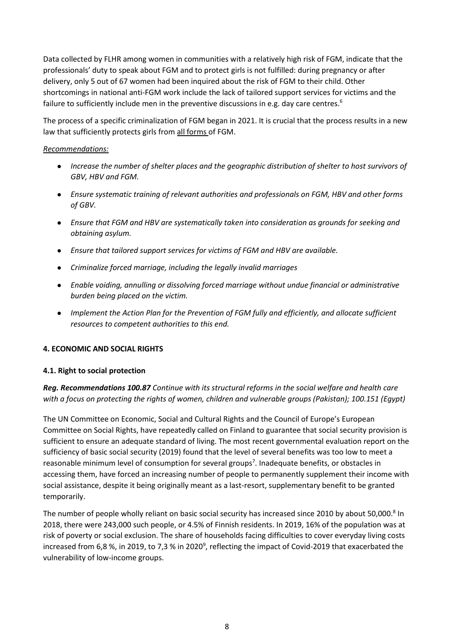Data collected by FLHR among women in communities with a relatively high risk of FGM, indicate that the professionals' duty to speak about FGM and to protect girls is not fulfilled: during pregnancy or after delivery, only 5 out of 67 women had been inquired about the risk of FGM to their child. Other shortcomings in national anti-FGM work include the lack of tailored support services for victims and the failure to sufficiently include men in the preventive discussions in e.g. day care centres.<sup>6</sup>

The process of a specific criminalization of FGM began in 2021. It is crucial that the process results in a new law that sufficiently protects girls from all forms of FGM.

### *Recommendations:*

- *Increase the number of shelter places and the geographic distribution of shelter to host survivors of GBV, HBV and FGM.*
- *Ensure systematic training of relevant authorities and professionals on FGM, HBV and other forms of GBV.*
- *Ensure that FGM and HBV are systematically taken into consideration as grounds for seeking and obtaining asylum.*
- *Ensure that tailored support services for victims of FGM and HBV are available.*
- *Criminalize forced marriage, including the legally invalid marriages*
- *Enable voiding, annulling or dissolving forced marriage without undue financial or administrative burden being placed on the victim.*
- *Implement the Action Plan for the Prevention of FGM fully and efficiently, and allocate sufficient resources to competent authorities to this end.*

## **4. ECONOMIC AND SOCIAL RIGHTS**

## **4.1. Right to social protection**

*Reg. Recommendations 100.87 Continue with its structural reforms in the social welfare and health care with a focus on protecting the rights of women, children and vulnerable groups (Pakistan); 100.151 (Egypt)*

The UN Committee on Economic, Social and Cultural Rights and the Council of Europe's European Committee on Social Rights, have repeatedly called on Finland to guarantee that social security provision is sufficient to ensure an adequate standard of living. The most recent governmental evaluation report on the sufficiency of basic social security (2019) found that the level of several benefits was too low to meet a reasonable minimum level of consumption for several groups<sup>7</sup>. Inadequate benefits, or obstacles in accessing them, have forced an increasing number of people to permanently supplement their income with social assistance, despite it being originally meant as a last-resort, supplementary benefit to be granted temporarily.

The number of people wholly reliant on basic social security has increased since 2010 by about 50,000.<sup>8</sup> In 2018, there were 243,000 such people, or 4.5% of Finnish residents. In 2019, 16% of the population was at risk of poverty or social exclusion. The share of households facing difficulties to cover everyday living costs increased from 6,8 %, in 2019, to 7,3 % in 2020<sup>9</sup>, reflecting the impact of Covid-2019 that exacerbated the vulnerability of low-income groups.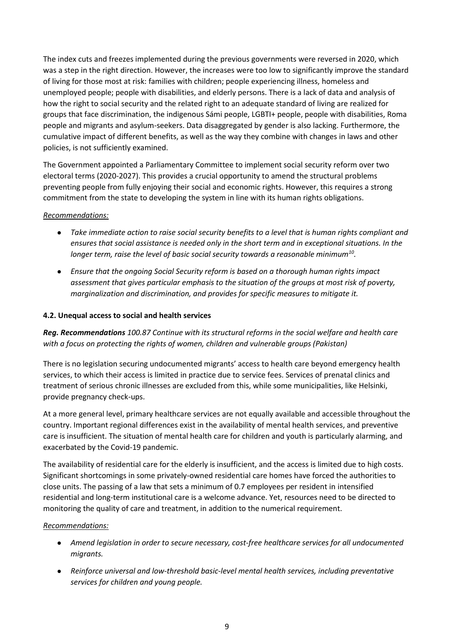The index cuts and freezes implemented during the previous governments were reversed in 2020, which was a step in the right direction. However, the increases were too low to significantly improve the standard of living for those most at risk: families with children; people experiencing illness, homeless and unemployed people; people with disabilities, and elderly persons. There is a lack of data and analysis of how the right to social security and the related right to an adequate standard of living are realized for groups that face discrimination, the indigenous Sámi people, LGBTI+ people, people with disabilities, Roma people and migrants and asylum-seekers. Data disaggregated by gender is also lacking. Furthermore, the cumulative impact of different benefits, as well as the way they combine with changes in laws and other policies, is not sufficiently examined.

The Government appointed a Parliamentary Committee to implement social security reform over two electoral terms (2020-2027). This provides a crucial opportunity to amend the structural problems preventing people from fully enjoying their social and economic rights. However, this requires a strong commitment from the state to developing the system in line with its human rights obligations.

### *Recommendations:*

- *Take immediate action to raise social security benefits to a level that is human rights compliant and ensures that social assistance is needed only in the short term and in exceptional situations. In the longer term, raise the level of basic social security towards a reasonable minimum<sup>10</sup> .*
- *Ensure that the ongoing Social Security reform is based on a thorough human rights impact assessment that gives particular emphasis to the situation of the groups at most risk of poverty, marginalization and discrimination, and provides for specific measures to mitigate it.*

### **4.2. Unequal access to social and health services**

*Reg. Recommendations 100.87 Continue with its structural reforms in the social welfare and health care with a focus on protecting the rights of women, children and vulnerable groups (Pakistan)* 

There is no legislation securing undocumented migrants' access to health care beyond emergency health services, to which their access is limited in practice due to service fees. Services of prenatal clinics and treatment of serious chronic illnesses are excluded from this, while some municipalities, like Helsinki, provide pregnancy check-ups.

At a more general level, primary healthcare services are not equally available and accessible throughout the country. Important regional differences exist in the availability of mental health services, and preventive care is insufficient. The situation of mental health care for children and youth is particularly alarming, and exacerbated by the Covid-19 pandemic.

The availability of residential care for the elderly is insufficient, and the access is limited due to high costs. Significant shortcomings in some privately-owned residential care homes have forced the authorities to close units. The passing of a law that sets a minimum of 0.7 employees per resident in intensified residential and long-term institutional care is a welcome advance. Yet, resources need to be directed to monitoring the quality of care and treatment, in addition to the numerical requirement.

#### *Recommendations:*

- *Amend legislation in order to secure necessary, cost-free healthcare services for all undocumented migrants.*
- *Reinforce universal and low-threshold basic-level mental health services, including preventative services for children and young people.*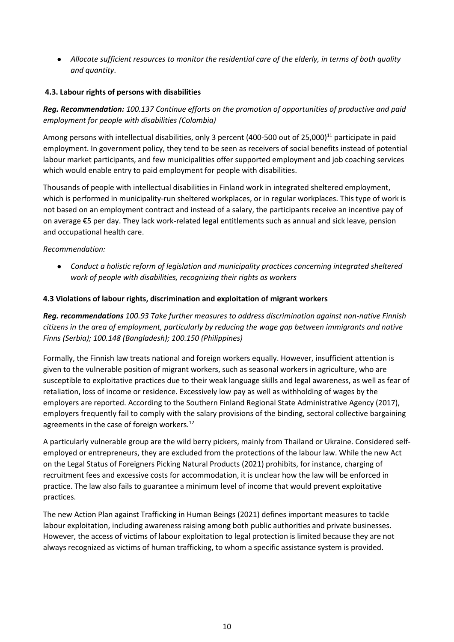● *Allocate sufficient resources to monitor the residential care of the elderly, in terms of both quality and quantity*.

## **4.3. Labour rights of persons with disabilities**

*Reg. Recommendation: 100.137 Continue efforts on the promotion of opportunities of productive and paid employment for people with disabilities (Colombia)* 

Among persons with intellectual disabilities, only 3 percent (400-500 out of 25,000)<sup>11</sup> participate in paid employment. In government policy, they tend to be seen as receivers of social benefits instead of potential labour market participants, and few municipalities offer supported employment and job coaching services which would enable entry to paid employment for people with disabilities.

Thousands of people with intellectual disabilities in Finland work in integrated sheltered employment, which is performed in municipality-run sheltered workplaces, or in regular workplaces. This type of work is not based on an employment contract and instead of a salary, the participants receive an incentive pay of on average €5 per day. They lack work-related legal entitlements such as annual and sick leave, pension and occupational health care.

# *Recommendation:*

● *Conduct a holistic reform of legislation and municipality practices concerning integrated sheltered work of people with disabilities, recognizing their rights as workers*

# **4.3 Violations of labour rights, discrimination and exploitation of migrant workers**

*Reg. recommendations 100.93 Take further measures to address discrimination against non-native Finnish citizens in the area of employment, particularly by reducing the wage gap between immigrants and native Finns (Serbia); 100.148 (Bangladesh); 100.150 (Philippines)*

Formally, the Finnish law treats national and foreign workers equally. However, insufficient attention is given to the vulnerable position of migrant workers, such as seasonal workers in agriculture, who are susceptible to exploitative practices due to their weak language skills and legal awareness, as well as fear of retaliation, loss of income or residence. Excessively low pay as well as withholding of wages by the employers are reported. According to the Southern Finland Regional State Administrative Agency (2017), employers frequently fail to comply with the salary provisions of the binding, sectoral collective bargaining agreements in the case of foreign workers.<sup>12</sup>

A particularly vulnerable group are the wild berry pickers, mainly from Thailand or Ukraine. Considered selfemployed or entrepreneurs, they are excluded from the protections of the labour law. While the new Act on the Legal Status of Foreigners Picking Natural Products (2021) prohibits, for instance, charging of recruitment fees and excessive costs for accommodation, it is unclear how the law will be enforced in practice. The law also fails to guarantee a minimum level of income that would prevent exploitative practices.

The new Action Plan against Trafficking in Human Beings (2021) defines important measures to tackle labour exploitation, including awareness raising among both public authorities and private businesses. However, the access of victims of labour exploitation to legal protection is limited because they are not always recognized as victims of human trafficking, to whom a specific assistance system is provided.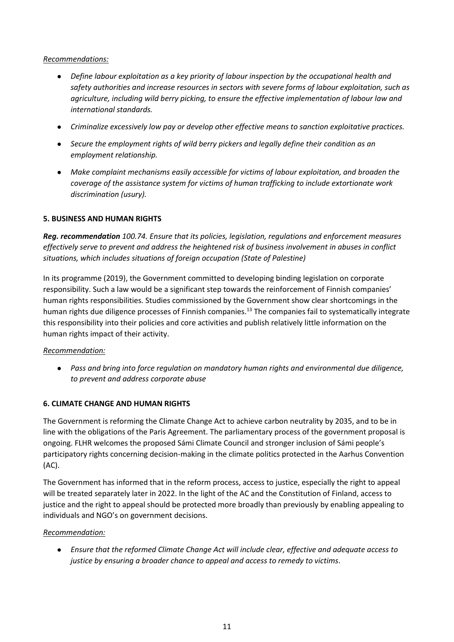### *Recommendations:*

- *Define labour exploitation as a key priority of labour inspection by the occupational health and safety authorities and increase resources in sectors with severe forms of labour exploitation, such as agriculture, including wild berry picking, to ensure the effective implementation of labour law and international standards.*
- *Criminalize excessively low pay or develop other effective means to sanction exploitative practices.*
- *Secure the employment rights of wild berry pickers and legally define their condition as an employment relationship.*
- *Make complaint mechanisms easily accessible for victims of labour exploitation, and broaden the coverage of the assistance system for victims of human trafficking to include extortionate work discrimination (usury).*

### **5. BUSINESS AND HUMAN RIGHTS**

*Reg. recommendation 100.74. Ensure that its policies, legislation, regulations and enforcement measures effectively serve to prevent and address the heightened risk of business involvement in abuses in conflict situations, which includes situations of foreign occupation (State of Palestine)*

In its programme (2019), the Government committed to developing binding legislation on corporate responsibility. Such a law would be a significant step towards the reinforcement of Finnish companies' human rights responsibilities. Studies commissioned by the Government show clear shortcomings in the human rights due diligence processes of Finnish companies.<sup>13</sup> The companies fail to systematically integrate this responsibility into their policies and core activities and publish relatively little information on the human rights impact of their activity.

#### *Recommendation:*

● *Pass and bring into force regulation on mandatory human rights and environmental due diligence, to prevent and address corporate abuse*

## **6. CLIMATE CHANGE AND HUMAN RIGHTS**

The Government is reforming the Climate Change Act to achieve carbon neutrality by 2035, and to be in line with the obligations of the Paris Agreement. The parliamentary process of the government proposal is ongoing. FLHR welcomes the proposed Sámi Climate Council and stronger inclusion of Sámi people's participatory rights concerning decision-making in the climate politics protected in the Aarhus Convention (AC).

The Government has informed that in the reform process, access to justice, especially the right to appeal will be treated separately later in 2022. In the light of the AC and the Constitution of Finland, access to justice and the right to appeal should be protected more broadly than previously by enabling appealing to individuals and NGO's on government decisions.

## *Recommendation:*

● *Ensure that the reformed Climate Change Act will include clear, effective and adequate access to justice by ensuring a broader chance to appeal and access to remedy to victims*.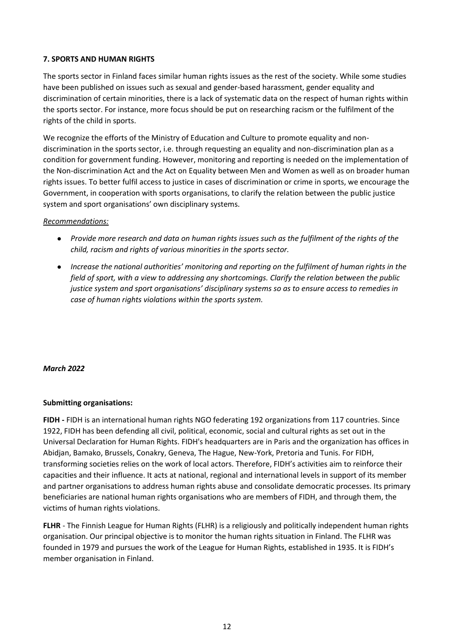### **7. SPORTS AND HUMAN RIGHTS**

The sports sector in Finland faces similar human rights issues as the rest of the society. While some studies have been published on issues such as sexual and gender-based harassment, gender equality and discrimination of certain minorities, there is a lack of systematic data on the respect of human rights within the sports sector. For instance, more focus should be put on researching racism or the fulfilment of the rights of the child in sports.

We recognize the efforts of the Ministry of Education and Culture to promote equality and nondiscrimination in the sports sector, i.e. through requesting an equality and non-discrimination plan as a condition for government funding. However, monitoring and reporting is needed on the implementation of the Non-discrimination Act and the Act on Equality between Men and Women as well as on broader human rights issues. To better fulfil access to justice in cases of discrimination or crime in sports, we encourage the Government, in cooperation with sports organisations, to clarify the relation between the public justice system and sport organisations' own disciplinary systems.

#### *Recommendations:*

- *Provide more research and data on human rights issues such as the fulfilment of the rights of the child, racism and rights of various minorities in the sports sector.*
- *Increase the national authorities' monitoring and reporting on the fulfilment of human rights in the field of sport, with a view to addressing any shortcomings. Clarify the relation between the public justice system and sport organisations' disciplinary systems so as to ensure access to remedies in case of human rights violations within the sports system.*

#### *March 2022*

#### **Submitting organisations:**

**FIDH -** FIDH is an international human rights NGO federating 192 organizations from 117 countries. Since 1922, FIDH has been defending all civil, political, economic, social and cultural rights as set out in the Universal Declaration for Human Rights. FIDH's headquarters are in Paris and the organization has offices in Abidjan, Bamako, Brussels, Conakry, Geneva, The Hague, New-York, Pretoria and Tunis. For FIDH, transforming societies relies on the work of local actors. Therefore, FIDH's activities aim to reinforce their capacities and their influence. It acts at national, regional and international levels in support of its member and partner organisations to address human rights abuse and consolidate democratic processes. Its primary beneficiaries are national human rights organisations who are members of FIDH, and through them, the victims of human rights violations.

**FLHR** - The Finnish League for Human Rights (FLHR) is a religiously and politically independent human rights organisation. Our principal objective is to monitor the human rights situation in Finland. The FLHR was founded in 1979 and pursues the work of the League for Human Rights, established in 1935. It is FIDH's member organisation in Finland.